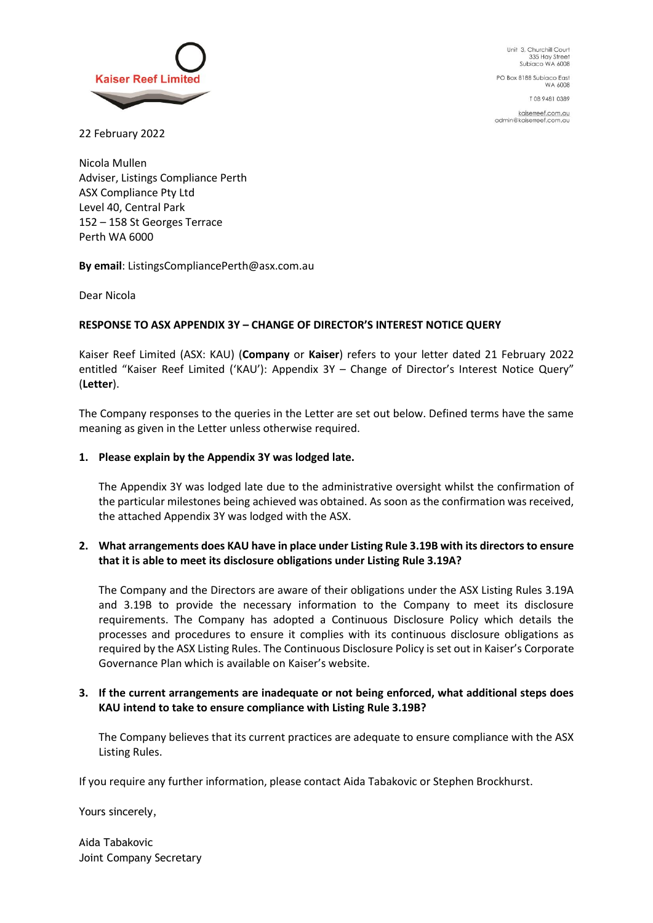

Unit 3, Churchill Court 335 Hay Street Subiaco WA 6008

PO Box 8188 Subiaco East **WA 6008** 

T08 9481 0389

kaiserreef.com.au<br>admin@kaiserreef.com.au

22 February 2022

Nicola Mullen Adviser, Listings Compliance Perth ASX Compliance Pty Ltd Level 40, Central Park 152 – 158 St Georges Terrace Perth WA 6000

**By email**: ListingsCompliancePerth@asx.com.au

Dear Nicola

# **RESPONSE TO ASX APPENDIX 3Y – CHANGE OF DIRECTOR'S INTEREST NOTICE QUERY**

Kaiser Reef Limited (ASX: KAU) (**Company** or **Kaiser**) refers to your letter dated 21 February 2022 entitled "Kaiser Reef Limited ('KAU'): Appendix 3Y – Change of Director's Interest Notice Query" (**Letter**).

The Company responses to the queries in the Letter are set out below. Defined terms have the same meaning as given in the Letter unless otherwise required.

## **1. Please explain by the Appendix 3Y was lodged late.**

The Appendix 3Y was lodged late due to the administrative oversight whilst the confirmation of the particular milestones being achieved was obtained. As soon as the confirmation was received, the attached Appendix 3Y was lodged with the ASX.

# **2. What arrangements does KAU have in place under Listing Rule 3.19B with its directors to ensure that it is able to meet its disclosure obligations under Listing Rule 3.19A?**

The Company and the Directors are aware of their obligations under the ASX Listing Rules 3.19A and 3.19B to provide the necessary information to the Company to meet its disclosure requirements. The Company has adopted a Continuous Disclosure Policy which details the processes and procedures to ensure it complies with its continuous disclosure obligations as required by the ASX Listing Rules. The Continuous Disclosure Policy is set out in Kaiser's Corporate Governance Plan which is available on Kaiser's website.

# **3. If the current arrangements are inadequate or not being enforced, what additional steps does KAU intend to take to ensure compliance with Listing Rule 3.19B?**

The Company believes that its current practices are adequate to ensure compliance with the ASX Listing Rules.

If you require any further information, please contact Aida Tabakovic or Stephen Brockhurst.

Yours sincerely,

Aida Tabakovic Joint Company Secretary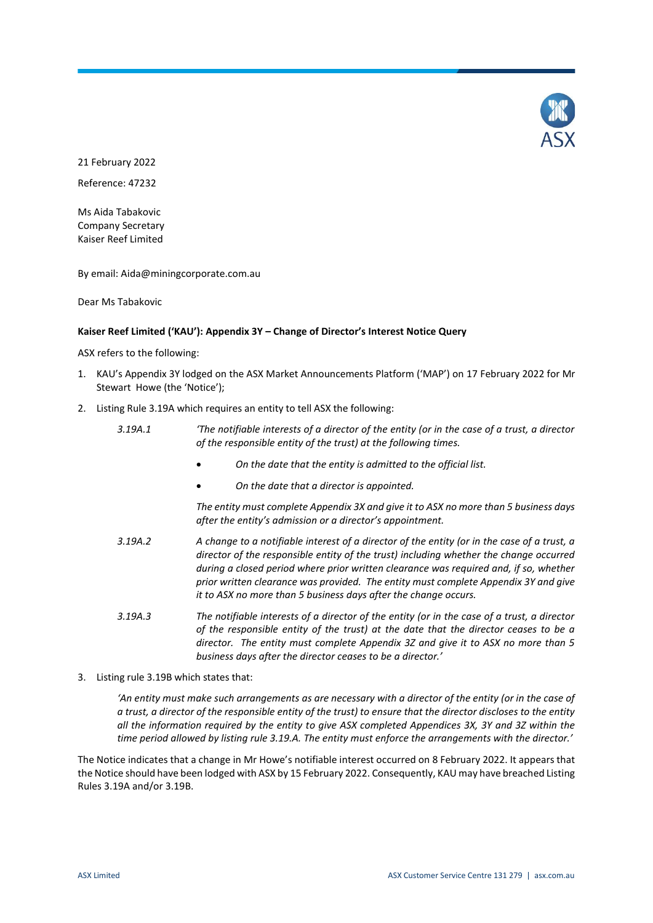

21 February 2022

Reference: 47232

Ms Aida Tabakovic Company Secretary Kaiser Reef Limited

By email: Aida@miningcorporate.com.au

Dear Ms Tabakovic

### **Kaiser Reef Limited ('KAU'): Appendix 3Y – Change of Director's Interest Notice Query**

ASX refers to the following:

- 1. KAU's Appendix 3Y lodged on the ASX Market Announcements Platform ('MAP') on 17 February 2022 for Mr Stewart Howe (the 'Notice');
- 2. Listing Rule 3.19A which requires an entity to tell ASX the following:

| 3.19A.1 | The notifiable interests of a director of the entity (or in the case of a trust, a director<br>of the responsible entity of the trust) at the following times.                                                                                                                                                                                                                                                                           |
|---------|------------------------------------------------------------------------------------------------------------------------------------------------------------------------------------------------------------------------------------------------------------------------------------------------------------------------------------------------------------------------------------------------------------------------------------------|
|         | On the date that the entity is admitted to the official list.                                                                                                                                                                                                                                                                                                                                                                            |
|         | On the date that a director is appointed.                                                                                                                                                                                                                                                                                                                                                                                                |
|         | The entity must complete Appendix 3X and give it to ASX no more than 5 business days<br>after the entity's admission or a director's appointment.                                                                                                                                                                                                                                                                                        |
| 3.19A.2 | A change to a notifiable interest of a director of the entity (or in the case of a trust, a<br>director of the responsible entity of the trust) including whether the change occurred<br>during a closed period where prior written clearance was required and, if so, whether<br>prior written clearance was provided. The entity must complete Appendix 3Y and give<br>it to ASX no more than 5 business days after the change occurs. |
| 3.19A.3 | The notifiable interests of a director of the entity (or in the case of a trust, a director<br>of the responsible entity of the trust) at the date that the director ceases to be a<br>director. The entity must complete Appendix 3Z and give it to ASX no more than 5<br>business days after the director ceases to be a director.'                                                                                                    |

3. Listing rule 3.19B which states that:

*'An entity must make such arrangements as are necessary with a director of the entity (or in the case of a trust, a director of the responsible entity of the trust) to ensure that the director discloses to the entity all the information required by the entity to give ASX completed Appendices 3X, 3Y and 3Z within the time period allowed by listing rule 3.19.A. The entity must enforce the arrangements with the director.'*

The Notice indicates that a change in Mr Howe's notifiable interest occurred on 8 February 2022. It appears that the Notice should have been lodged with ASX by 15 February 2022. Consequently, KAU may have breached Listing Rules 3.19A and/or 3.19B.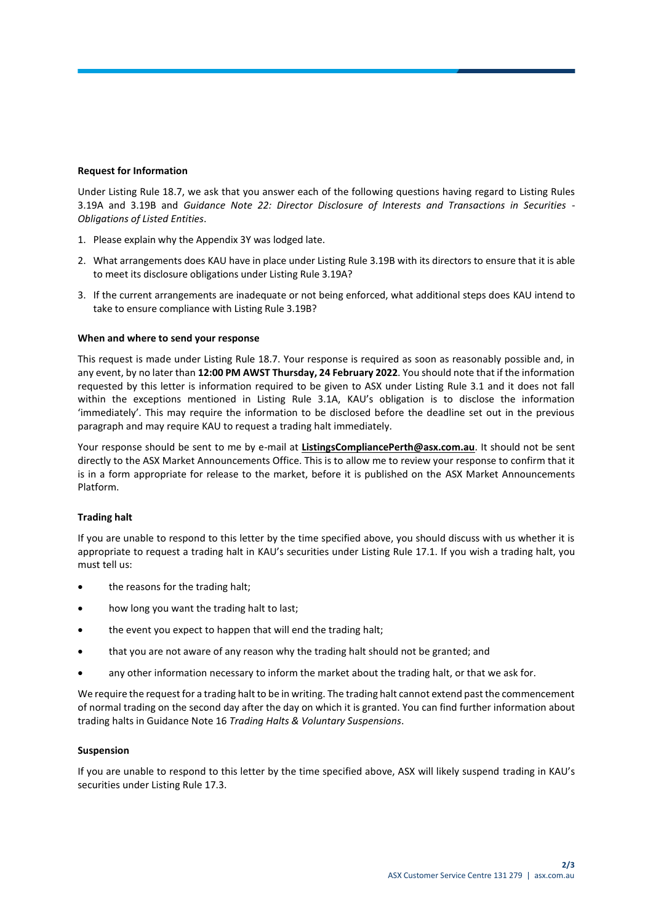### **Request for Information**

Under Listing Rule 18.7, we ask that you answer each of the following questions having regard to Listing Rules 3.19A and 3.19B and *Guidance Note 22: Director Disclosure of Interests and Transactions in Securities - Obligations of Listed Entities*.

- 1. Please explain why the Appendix 3Y was lodged late.
- 2. What arrangements does KAU have in place under Listing Rule 3.19B with its directors to ensure that it is able to meet its disclosure obligations under Listing Rule 3.19A?
- 3. If the current arrangements are inadequate or not being enforced, what additional steps does KAU intend to take to ensure compliance with Listing Rule 3.19B?

## **When and where to send your response**

This request is made under Listing Rule 18.7. Your response is required as soon as reasonably possible and, in any event, by no later than **12:00 PM AWST Thursday, 24 February 2022**. You should note that if the information requested by this letter is information required to be given to ASX under Listing Rule 3.1 and it does not fall within the exceptions mentioned in Listing Rule 3.1A, KAU's obligation is to disclose the information 'immediately'. This may require the information to be disclosed before the deadline set out in the previous paragraph and may require KAU to request a trading halt immediately.

Your response should be sent to me by e-mail at **ListingsCompliancePerth@asx.com.au**. It should not be sent directly to the ASX Market Announcements Office. This is to allow me to review your response to confirm that it is in a form appropriate for release to the market, before it is published on the ASX Market Announcements Platform.

## **Trading halt**

If you are unable to respond to this letter by the time specified above, you should discuss with us whether it is appropriate to request a trading halt in KAU's securities under Listing Rule 17.1. If you wish a trading halt, you must tell us:

- the reasons for the trading halt;
- how long you want the trading halt to last;
- the event you expect to happen that will end the trading halt;
- that you are not aware of any reason why the trading halt should not be granted; and
- any other information necessary to inform the market about the trading halt, or that we ask for.

We require the request for a trading halt to be in writing. The trading halt cannot extend past the commencement of normal trading on the second day after the day on which it is granted. You can find further information about trading halts in Guidance Note 16 *Trading Halts & Voluntary Suspensions*.

#### **Suspension**

If you are unable to respond to this letter by the time specified above, ASX will likely suspend trading in KAU's securities under Listing Rule 17.3.